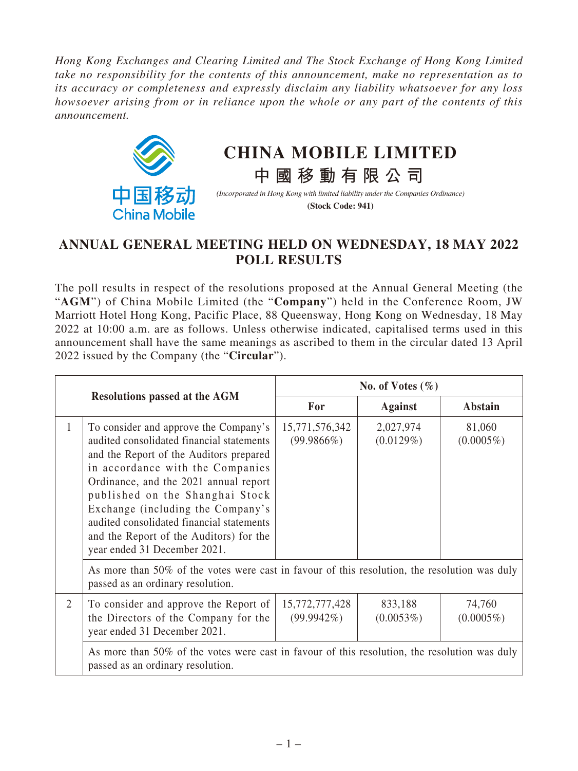*Hong Kong Exchanges and Clearing Limited and The Stock Exchange of Hong Kong Limited take no responsibility for the contents of this announcement, make no representation as to its accuracy or completeness and expressly disclaim any liability whatsoever for any loss howsoever arising from or in reliance upon the whole or any part of the contents of this announcement.*



## **CHINA MOBILE LIMITED**

*(Incorporated in Hong Kong with limited liability under the Companies Ordinance)* **(Stock Code: 941)**

**中國移動有限公司**

## **ANNUAL GENERAL MEETING HELD ON WEDNESDAY, 18 MAY 2022 POLL RESULTS**

The poll results in respect of the resolutions proposed at the Annual General Meeting (the "**AGM**") of China Mobile Limited (the "**Company**") held in the Conference Room, JW Marriott Hotel Hong Kong, Pacific Place, 88 Queensway, Hong Kong on Wednesday, 18 May 2022 at 10:00 a.m. are as follows. Unless otherwise indicated, capitalised terms used in this announcement shall have the same meanings as ascribed to them in the circular dated 13 April 2022 issued by the Company (the "**Circular**").

|                                      |                                                                                                                                                                                                                                                                                                                                                                                                            | No. of Votes $(\% )$            |                        |                        |  |  |
|--------------------------------------|------------------------------------------------------------------------------------------------------------------------------------------------------------------------------------------------------------------------------------------------------------------------------------------------------------------------------------------------------------------------------------------------------------|---------------------------------|------------------------|------------------------|--|--|
| <b>Resolutions passed at the AGM</b> |                                                                                                                                                                                                                                                                                                                                                                                                            | For                             | <b>Against</b>         | Abstain                |  |  |
| 1                                    | To consider and approve the Company's<br>audited consolidated financial statements<br>and the Report of the Auditors prepared<br>in accordance with the Companies<br>Ordinance, and the 2021 annual report<br>published on the Shanghai Stock<br>Exchange (including the Company's<br>audited consolidated financial statements<br>and the Report of the Auditors) for the<br>year ended 31 December 2021. | 15,771,576,342<br>$(99.9866\%)$ | 2,027,974<br>(0.0129%) | 81,060<br>$(0.0005\%)$ |  |  |
|                                      | As more than 50% of the votes were cast in favour of this resolution, the resolution was duly<br>passed as an ordinary resolution.                                                                                                                                                                                                                                                                         |                                 |                        |                        |  |  |
| $\overline{2}$                       | To consider and approve the Report of<br>the Directors of the Company for the<br>year ended 31 December 2021.                                                                                                                                                                                                                                                                                              | 15,772,777,428<br>$(99.9942\%)$ | 833,188<br>(0.0053%)   | 74,760<br>$(0.0005\%)$ |  |  |
|                                      | As more than 50% of the votes were cast in favour of this resolution, the resolution was duly<br>passed as an ordinary resolution.                                                                                                                                                                                                                                                                         |                                 |                        |                        |  |  |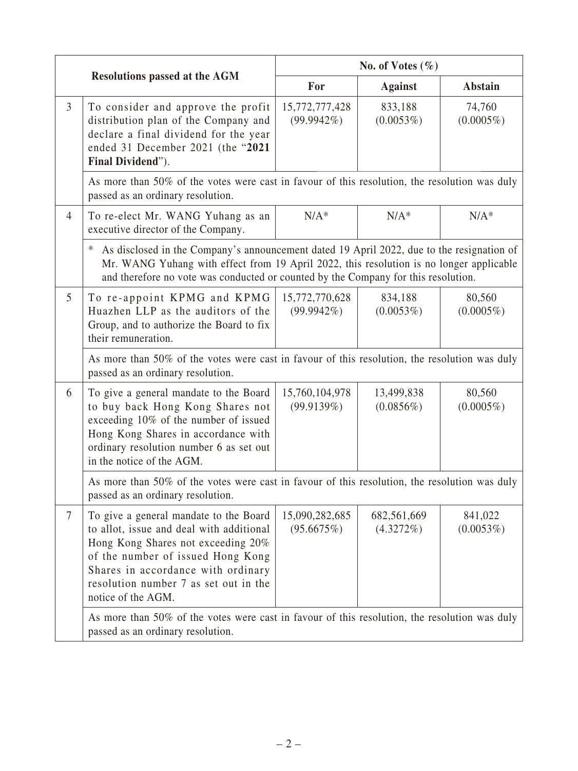|                |                                                                                                                                                                                                                                                                                 | No. of Votes $(\% )$            |                             |                         |  |
|----------------|---------------------------------------------------------------------------------------------------------------------------------------------------------------------------------------------------------------------------------------------------------------------------------|---------------------------------|-----------------------------|-------------------------|--|
|                | <b>Resolutions passed at the AGM</b>                                                                                                                                                                                                                                            | For                             | <b>Against</b>              | <b>Abstain</b>          |  |
| $\mathfrak{Z}$ | To consider and approve the profit<br>distribution plan of the Company and<br>declare a final dividend for the year<br>ended 31 December 2021 (the "2021<br>Final Dividend").                                                                                                   | 15,772,777,428<br>$(99.9942\%)$ | 833,188<br>$(0.0053\%)$     | 74,760<br>$(0.0005\%)$  |  |
|                | As more than 50% of the votes were cast in favour of this resolution, the resolution was duly<br>passed as an ordinary resolution.                                                                                                                                              |                                 |                             |                         |  |
| $\overline{4}$ | To re-elect Mr. WANG Yuhang as an<br>executive director of the Company.                                                                                                                                                                                                         | $N/A^*$                         | $N/A^*$                     | $N/A^*$                 |  |
|                | As disclosed in the Company's announcement dated 19 April 2022, due to the resignation of<br>∗<br>Mr. WANG Yuhang with effect from 19 April 2022, this resolution is no longer applicable<br>and therefore no vote was conducted or counted by the Company for this resolution. |                                 |                             |                         |  |
| 5              | To re-appoint KPMG and KPMG<br>Huazhen LLP as the auditors of the<br>Group, and to authorize the Board to fix<br>their remuneration.                                                                                                                                            | 15,772,770,628<br>$(99.9942\%)$ | 834,188<br>(0.0053%)        | 80,560<br>$(0.0005\%)$  |  |
|                | As more than 50% of the votes were cast in favour of this resolution, the resolution was duly<br>passed as an ordinary resolution.                                                                                                                                              |                                 |                             |                         |  |
| 6              | To give a general mandate to the Board<br>to buy back Hong Kong Shares not<br>exceeding 10% of the number of issued<br>Hong Kong Shares in accordance with<br>ordinary resolution number 6 as set out<br>in the notice of the AGM.                                              | 15,760,104,978<br>(99.9139%)    | 13,499,838<br>$(0.0856\%)$  | 80,560<br>$(0.0005\%)$  |  |
|                | As more than 50% of the votes were cast in favour of this resolution, the resolution was duly<br>passed as an ordinary resolution.                                                                                                                                              |                                 |                             |                         |  |
| $\tau$         | To give a general mandate to the Board<br>to allot, issue and deal with additional<br>Hong Kong Shares not exceeding 20%<br>of the number of issued Hong Kong<br>Shares in accordance with ordinary<br>resolution number 7 as set out in the<br>notice of the AGM.              | 15,090,282,685<br>(95.6675%)    | 682,561,669<br>$(4.3272\%)$ | 841,022<br>$(0.0053\%)$ |  |
|                | As more than 50% of the votes were cast in favour of this resolution, the resolution was duly<br>passed as an ordinary resolution.                                                                                                                                              |                                 |                             |                         |  |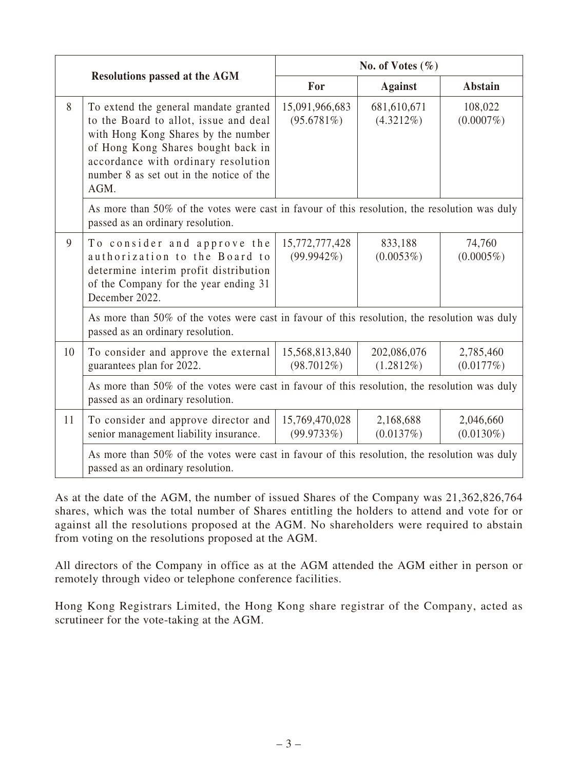| <b>Resolutions passed at the AGM</b> |                                                                                                                                                                                                                                                        | No. of Votes $(\% )$         |                             |                           |  |
|--------------------------------------|--------------------------------------------------------------------------------------------------------------------------------------------------------------------------------------------------------------------------------------------------------|------------------------------|-----------------------------|---------------------------|--|
|                                      |                                                                                                                                                                                                                                                        | For                          | <b>Against</b>              | Abstain                   |  |
| 8                                    | To extend the general mandate granted<br>to the Board to allot, issue and deal<br>with Hong Kong Shares by the number<br>of Hong Kong Shares bought back in<br>accordance with ordinary resolution<br>number 8 as set out in the notice of the<br>AGM. | 15,091,966,683<br>(95.6781%) | 681,610,671<br>$(4.3212\%)$ | 108,022<br>$(0.0007\%)$   |  |
|                                      | As more than 50% of the votes were cast in favour of this resolution, the resolution was duly<br>passed as an ordinary resolution.                                                                                                                     |                              |                             |                           |  |
| 9                                    | To consider and approve the<br>authorization to the Board to<br>determine interim profit distribution<br>of the Company for the year ending 31<br>December 2022.                                                                                       | 15,772,777,428<br>(99.9942%) | 833,188<br>(0.0053%)        | 74,760<br>$(0.0005\%)$    |  |
|                                      | As more than 50% of the votes were cast in favour of this resolution, the resolution was duly<br>passed as an ordinary resolution.                                                                                                                     |                              |                             |                           |  |
| 10                                   | To consider and approve the external<br>guarantees plan for 2022.                                                                                                                                                                                      | 15,568,813,840<br>(98.7012%) | 202,086,076<br>$(1.2812\%)$ | 2,785,460<br>(0.0177%)    |  |
|                                      | As more than 50% of the votes were cast in favour of this resolution, the resolution was duly<br>passed as an ordinary resolution.                                                                                                                     |                              |                             |                           |  |
| 11                                   | To consider and approve director and<br>senior management liability insurance.                                                                                                                                                                         | 15,769,470,028<br>(99.9733%) | 2,168,688<br>(0.0137%)      | 2,046,660<br>$(0.0130\%)$ |  |
|                                      | As more than 50% of the votes were cast in favour of this resolution, the resolution was duly<br>passed as an ordinary resolution.                                                                                                                     |                              |                             |                           |  |

As at the date of the AGM, the number of issued Shares of the Company was 21,362,826,764 shares, which was the total number of Shares entitling the holders to attend and vote for or against all the resolutions proposed at the AGM. No shareholders were required to abstain from voting on the resolutions proposed at the AGM.

All directors of the Company in office as at the AGM attended the AGM either in person or remotely through video or telephone conference facilities.

Hong Kong Registrars Limited, the Hong Kong share registrar of the Company, acted as scrutineer for the vote-taking at the AGM.